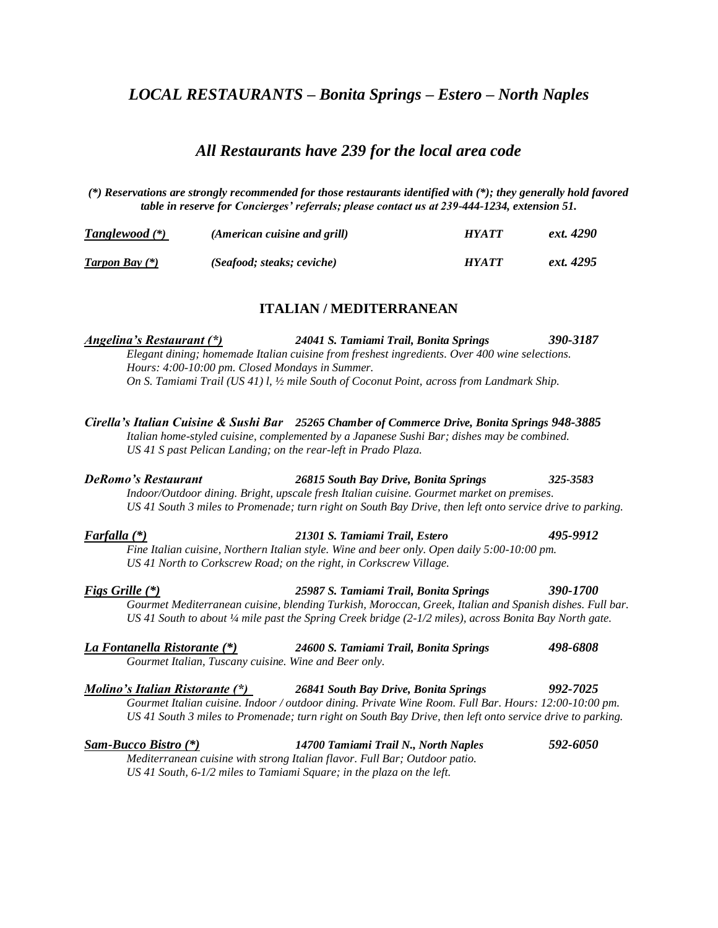# *LOCAL RESTAURANTS – Bonita Springs – Estero – North Naples*

# *All Restaurants have 239 for the local area code*

*(\*) Reservations are strongly recommended for those restaurants identified with (\*); they generally hold favored table in reserve for Concierges' referrals; please contact us at 239-444-1234, extension 51.*

| <b>Tanglewood</b> (*) | (American cuisine and grill) | <b>HYATT</b> | ext. 4290 |
|-----------------------|------------------------------|--------------|-----------|
| <b>Tarpon Bay</b> (*) | (Seafood; steaks; ceviche)   | <b>HYATT</b> | ext. 4295 |

## **ITALIAN / MEDITERRANEAN**

*Angelina's Restaurant (\*) 24041 S. Tamiami Trail, Bonita Springs 390-3187 Elegant dining; homemade Italian cuisine from freshest ingredients. Over 400 wine selections. Hours: 4:00-10:00 pm. Closed Mondays in Summer. On S. Tamiami Trail (US 41) l, ½ mile South of Coconut Point, across from Landmark Ship.*

*Cirella's Italian Cuisine & Sushi Bar 25265 Chamber of Commerce Drive, Bonita Springs 948-3885 Italian home-styled cuisine, complemented by a Japanese Sushi Bar; dishes may be combined. US 41 S past Pelican Landing; on the rear-left in Prado Plaza. DeRomo's Restaurant 26815 South Bay Drive, Bonita Springs 325-3583 Indoor/Outdoor dining. Bright, upscale fresh Italian cuisine. Gourmet market on premises.*

*Farfalla (\*) 21301 S. Tamiami Trail, Estero 495-9912 Fine Italian cuisine, Northern Italian style. Wine and beer only. Open daily 5:00-10:00 pm. US 41 North to Corkscrew Road; on the right, in Corkscrew Village.*

*US 41 South 3 miles to Promenade; turn right on South Bay Drive, then left onto service drive to parking.*

*Figs Grille (\*) 25987 S. Tamiami Trail, Bonita Springs 390-1700 Gourmet Mediterranean cuisine, blending Turkish, Moroccan, Greek, Italian and Spanish dishes. Full bar. US 41 South to about ¼ mile past the Spring Creek bridge (2-1/2 miles), across Bonita Bay North gate.*

| La Fontanella Ristorante (*)                          | 24600 S. Tamiami Trail, Bonita Springs | 498-6808 |
|-------------------------------------------------------|----------------------------------------|----------|
| Gourmet Italian, Tuscany cuisine. Wine and Beer only. |                                        |          |

| Molino's Italian Ristorante (*) | 26841 South Bay Drive, Bonita Springs                                                                     | 992-7025 |
|---------------------------------|-----------------------------------------------------------------------------------------------------------|----------|
|                                 | Gourmet Italian cuisine. Indoor / outdoor dining. Private Wine Room. Full Bar. Hours: 12:00-10:00 pm.     |          |
|                                 | US 41 South 3 miles to Promenade; turn right on South Bay Drive, then left onto service drive to parking. |          |

*Sam-Bucco Bistro (\*) 14700 Tamiami Trail N., North Naples 592-6050 Mediterranean cuisine with strong Italian flavor. Full Bar; Outdoor patio. US 41 South, 6-1/2 miles to Tamiami Square; in the plaza on the left.*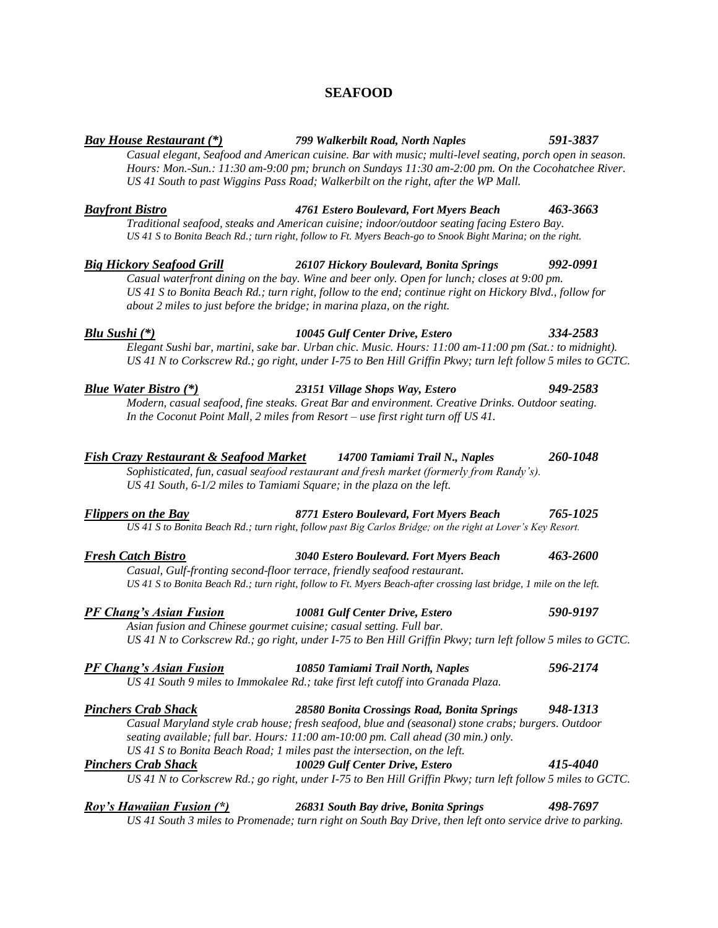# **SEAFOOD**

*Casual elegant, Seafood and American cuisine. Bar with music; multi-level seating, porch open in season.*

*Bay House Restaurant (\*) 799 Walkerbilt Road, North Naples 591-3837*

# *Hours: Mon.-Sun.: 11:30 am-9:00 pm; brunch on Sundays 11:30 am-2:00 pm. On the Cocohatchee River. US 41 South to past Wiggins Pass Road; Walkerbilt on the right, after the WP Mall. Bayfront Bistro 4761 Estero Boulevard, Fort Myers Beach 463-3663 Traditional seafood, steaks and American cuisine; indoor/outdoor seating facing Estero Bay. US 41 S to Bonita Beach Rd.; turn right, follow to Ft. Myers Beach-go to Snook Bight Marina; on the right. Big Hickory Seafood Grill 26107 Hickory Boulevard, Bonita Springs 992-0991 Casual waterfront dining on the bay. Wine and beer only. Open for lunch; closes at 9:00 pm. US 41 S to Bonita Beach Rd.; turn right, follow to the end; continue right on Hickory Blvd., follow for about 2 miles to just before the bridge; in marina plaza, on the right. Blu Sushi (\*) 10045 Gulf Center Drive, Estero 334-2583 Elegant Sushi bar, martini, sake bar. Urban chic. Music. Hours: 11:00 am-11:00 pm (Sat.: to midnight). US 41 N to Corkscrew Rd.; go right, under I-75 to Ben Hill Griffin Pkwy; turn left follow 5 miles to GCTC. Blue Water Bistro (\*) 23151 Village Shops Way, Estero 949-2583 Modern, casual seafood, fine steaks. Great Bar and environment. Creative Drinks. Outdoor seating. In the Coconut Point Mall, 2 miles from Resort – use first right turn off US 41. Fish Crazy Restaurant & Seafood Market 14700 Tamiami Trail N., Naples 260-1048 Sophisticated, fun, casual seafood restaurant and fresh market (formerly from Randy's). US 41 South, 6-1/2 miles to Tamiami Square; in the plaza on the left. Flippers on the Bay 8771 Estero Boulevard, Fort Myers Beach 765-1025 US 41 S to Bonita Beach Rd.; turn right, follow past Big Carlos Bridge; on the right at Lover's Key Resort. Fresh Catch Bistro 3040 Estero Boulevard. Fort Myers Beach 463-2600 Casual, Gulf-fronting second-floor terrace, friendly seafood restaurant. US 41 S to Bonita Beach Rd.; turn right, follow to Ft. Myers Beach-after crossing last bridge, 1 mile on the left. PF Chang's Asian Fusion 10081 Gulf Center Drive, Estero 590-9197 Asian fusion and Chinese gourmet cuisine; casual setting. Full bar. US 41 N to Corkscrew Rd.; go right, under I-75 to Ben Hill Griffin Pkwy; turn left follow 5 miles to GCTC. PF Chang's Asian Fusion 10850 Tamiami Trail North, Naples 596-2174 US 41 South 9 miles to Immokalee Rd.; take first left cutoff into Granada Plaza.*

*Pinchers Crab Shack 28580 Bonita Crossings Road, Bonita Springs 948-1313 Casual Maryland style crab house; fresh seafood, blue and (seasonal) stone crabs; burgers. Outdoor seating available; full bar. Hours: 11:00 am-10:00 pm. Call ahead (30 min.) only. US 41 S to Bonita Beach Road; 1 miles past the intersection, on the left.*

# *Pinchers Crab Shack 10029 Gulf Center Drive, Estero 415-4040 US 41 N to Corkscrew Rd.; go right, under I-75 to Ben Hill Griffin Pkwy; turn left follow 5 miles to GCTC.*

# *Roy's Hawaiian Fusion (\*) 26831 South Bay drive, Bonita Springs 498-7697*

*US 41 South 3 miles to Promenade; turn right on South Bay Drive, then left onto service drive to parking.*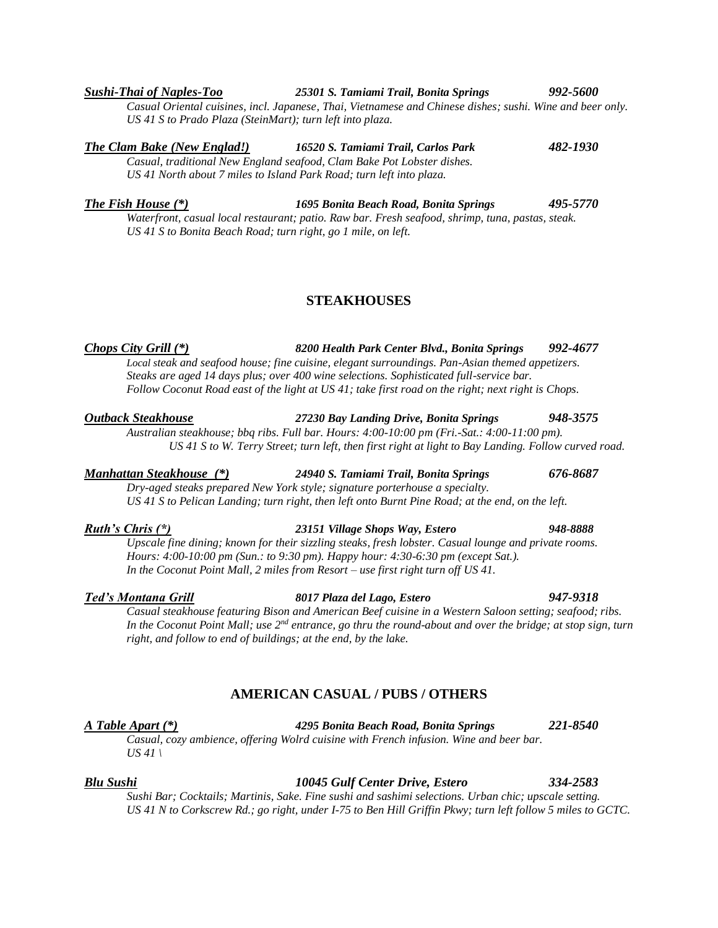### *Sushi-Thai of Naples-Too 25301 S. Tamiami Trail, Bonita Springs 992-5600 Casual Oriental cuisines, incl. Japanese, Thai, Vietnamese and Chinese dishes; sushi. Wine and beer only. US 41 S to Prado Plaza (SteinMart); turn left into plaza.*

*The Clam Bake (New Englad!) 16520 S. Tamiami Trail, Carlos Park 482-1930 Casual, traditional New England seafood, Clam Bake Pot Lobster dishes.*

*US 41 North about 7 miles to Island Park Road; turn left into plaza.*

*The Fish House (\*) 1695 Bonita Beach Road, Bonita Springs 495-5770 Waterfront, casual local restaurant; patio. Raw bar. Fresh seafood, shrimp, tuna, pastas, steak. US 41 S to Bonita Beach Road; turn right, go 1 mile, on left.*

# **STEAKHOUSES**

*Chops City Grill (\*) 8200 Health Park Center Blvd., Bonita Springs 992-4677 Local steak and seafood house; fine cuisine, elegant surroundings. Pan-Asian themed appetizers. Steaks are aged 14 days plus; over 400 wine selections. Sophisticated full-service bar. Follow Coconut Road east of the light at US 41; take first road on the right; next right is Chops.* 

*Outback Steakhouse 27230 Bay Landing Drive, Bonita Springs 948-3575 Australian steakhouse; bbq ribs. Full bar. Hours: 4:00-10:00 pm (Fri.-Sat.: 4:00-11:00 pm). US 41 S to W. Terry Street; turn left, then first right at light to Bay Landing. Follow curved road.*

### *Manhattan Steakhouse (\*) 24940 S. Tamiami Trail, Bonita Springs 676-8687*

*Dry-aged steaks prepared New York style; signature porterhouse a specialty. US 41 S to Pelican Landing; turn right, then left onto Burnt Pine Road; at the end, on the left.*

## *Ruth's Chris (\*) 23151 Village Shops Way, Estero 948-8888*

*Upscale fine dining; known for their sizzling steaks, fresh lobster. Casual lounge and private rooms. Hours: 4:00-10:00 pm (Sun.: to 9:30 pm). Happy hour: 4:30-6:30 pm (except Sat.). In the Coconut Point Mall, 2 miles from Resort – use first right turn off US 41.*

### *Ted's Montana Grill 8017 Plaza del Lago, Estero 947-9318*

*Casual steakhouse featuring Bison and American Beef cuisine in a Western Saloon setting; seafood; ribs. In the Coconut Point Mall; use 2nd entrance, go thru the round-about and over the bridge; at stop sign, turn right, and follow to end of buildings; at the end, by the lake.*

# **AMERICAN CASUAL / PUBS / OTHERS**

*A Table Apart (\*) 4295 Bonita Beach Road, Bonita Springs 221-8540*

*Casual, cozy ambience, offering Wolrd cuisine with French infusion. Wine and beer bar. US 41 \*

## *Blu Sushi 10045 Gulf Center Drive, Estero 334-2583*

*Sushi Bar; Cocktails; Martinis, Sake. Fine sushi and sashimi selections. Urban chic; upscale setting. US 41 N to Corkscrew Rd.; go right, under I-75 to Ben Hill Griffin Pkwy; turn left follow 5 miles to GCTC.*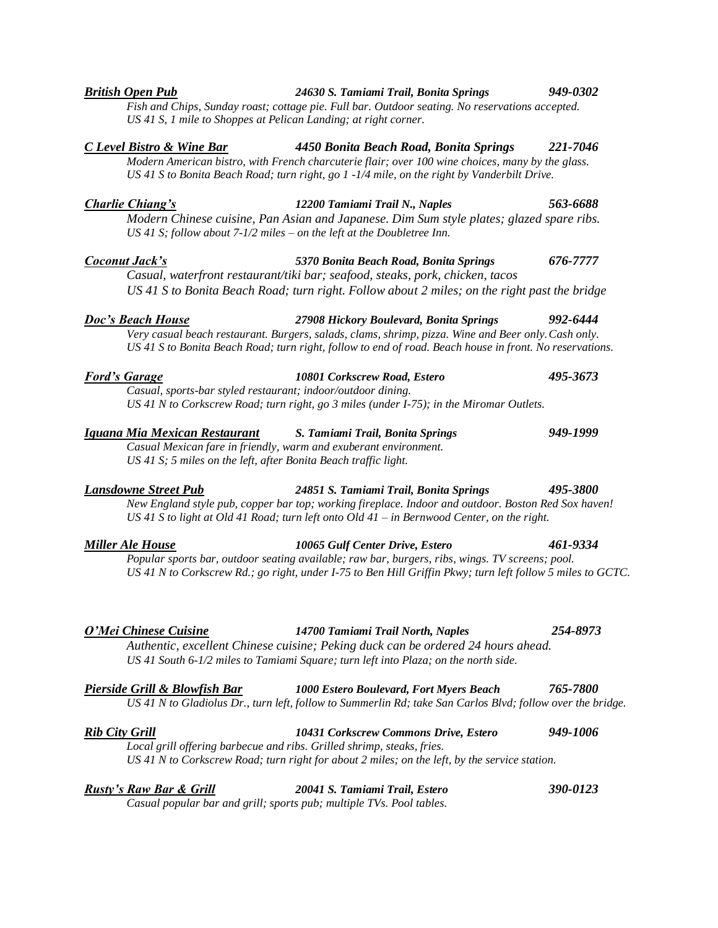| Modern American bistro, with French charcuterie flair; over 100 wine choices, many by the glass.<br>US 41 S to Bonita Beach Road; turn right, go 1 -1/4 mile, on the right by Vanderbilt Drive. |                                                                                                                                                                    |          |
|-------------------------------------------------------------------------------------------------------------------------------------------------------------------------------------------------|--------------------------------------------------------------------------------------------------------------------------------------------------------------------|----------|
| Charlie Chiang's                                                                                                                                                                                | 12200 Tamiami Trail N., Naples                                                                                                                                     | 563-6688 |
|                                                                                                                                                                                                 | Modern Chinese cuisine, Pan Asian and Japanese. Dim Sum style plates; glazed spare ribs.<br>US 41 S; follow about 7-1/2 miles – on the left at the Doubletree Inn. |          |
| Coconut Jack's                                                                                                                                                                                  | 5370 Bonita Beach Road, Bonita Springs                                                                                                                             | 676-7777 |

*C Level Bistro & Wine Bar 4450 Bonita Beach Road, Bonita Springs 221-7046*

*US 41 S, 1 mile to Shoppes at Pelican Landing; at right corner.*

*Casual, waterfront restaurant/tiki bar; seafood, steaks, pork, chicken, tacos US 41 S to Bonita Beach Road; turn right. Follow about 2 miles; on the right past the bridge*

*Doc's Beach House 27908 Hickory Boulevard, Bonita Springs 992-6444 Very casual beach restaurant. Burgers, salads, clams, shrimp, pizza. Wine and Beer only.Cash only. US 41 S to Bonita Beach Road; turn right, follow to end of road. Beach house in front. No reservations.*

| <b>Ford's Garage</b> | 10801 Corkscrew Road, Estero                                                               | 495-3673 |
|----------------------|--------------------------------------------------------------------------------------------|----------|
|                      | Casual, sports-bar styled restaurant; indoor/outdoor dining.                               |          |
|                      | US 41 N to Corkscrew Road; turn right, go 3 miles (under $I-75$ ); in the Miromar Outlets. |          |

| Iguana Mia Mexican Restaurant                                   | S. Tamiami Trail, Bonita Springs                                 | 949-1999 |
|-----------------------------------------------------------------|------------------------------------------------------------------|----------|
|                                                                 | Casual Mexican fare in friendly, warm and exuberant environment. |          |
| US 41 S; 5 miles on the left, after Bonita Beach traffic light. |                                                                  |          |

## *Lansdowne Street Pub 24851 S. Tamiami Trail, Bonita Springs 495-3800*

*New England style pub, copper bar top; working fireplace. Indoor and outdoor. Boston Red Sox haven! US 41 S to light at Old 41 Road; turn left onto Old 41 – in Bernwood Center, on the right.*

*Miller Ale House 10065 Gulf Center Drive, Estero 461-9334 Popular sports bar, outdoor seating available; raw bar, burgers, ribs, wings. TV screens; pool. US 41 N to Corkscrew Rd.; go right, under I-75 to Ben Hill Griffin Pkwy; turn left follow 5 miles to GCTC.*

### *O'Mei Chinese Cuisine 14700 Tamiami Trail North, Naples 254-8973*

*Authentic, excellent Chinese cuisine; Peking duck can be ordered 24 hours ahead. US 41 South 6-1/2 miles to Tamiami Square; turn left into Plaza; on the north side.*

| Pierside Grill & Blowfish Bar | <b>1000 Estero Boulevard, Fort Myers Beach</b>                                                             | 765-7800 |
|-------------------------------|------------------------------------------------------------------------------------------------------------|----------|
|                               | US 41 N to Gladiolus Dr., turn left, follow to Summerlin Rd; take San Carlos Blvd; follow over the bridge. |          |

| <b>Rib City Grill</b> | 10431 Corkscrew Commons Drive, Estero                                                         | 949-1006 |
|-----------------------|-----------------------------------------------------------------------------------------------|----------|
|                       | Local grill offering barbecue and ribs. Grilled shrimp, steaks, fries.                        |          |
|                       | US 41 N to Corkscrew Road; turn right for about 2 miles; on the left, by the service station. |          |
|                       |                                                                                               |          |

| <b>Rusty's Raw Bar &amp; Grill</b> | 20041 S. Tamiami Trail, Estero                                       | 390-0123 |
|------------------------------------|----------------------------------------------------------------------|----------|
|                                    | Casual popular bar and grill; sports pub; multiple TVs. Pool tables. |          |

### *British Open Pub 24630 S. Tamiami Trail, Bonita Springs 949-0302*

*Fish and Chips, Sunday roast; cottage pie. Full bar. Outdoor seating. No reservations accepted.*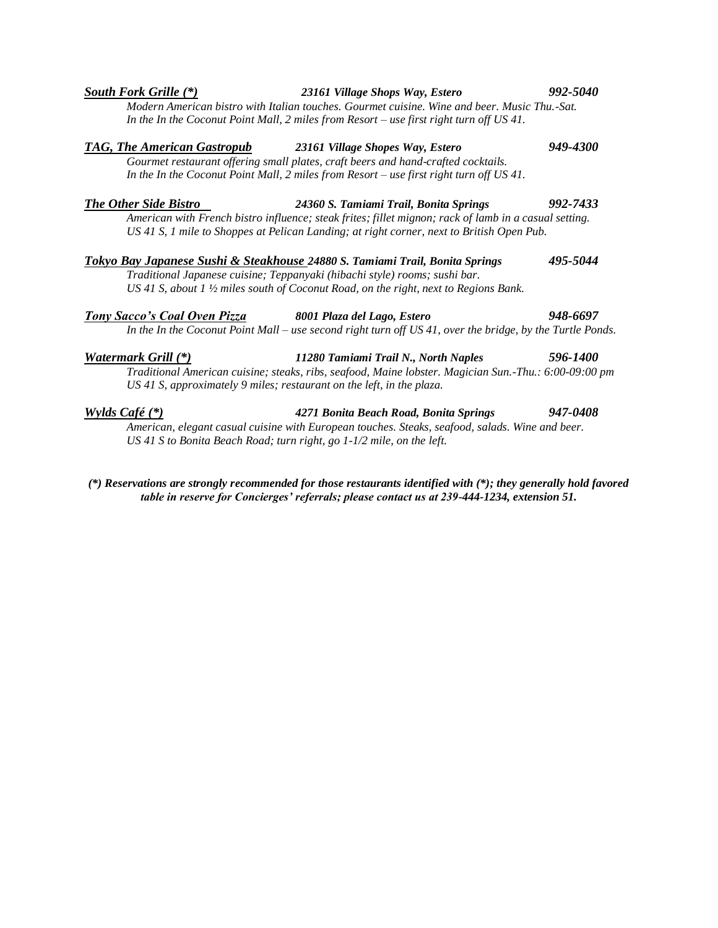|                                     | Modern American bistro with Italian touches. Gourmet cuisine. Wine and beer. Music Thu.-Sat.<br>In the In the Coconut Point Mall, 2 miles from Resort – use first right turn off US 41.                                                                       |          |
|-------------------------------------|---------------------------------------------------------------------------------------------------------------------------------------------------------------------------------------------------------------------------------------------------------------|----------|
| <b>TAG, The American Gastropub</b>  | 23161 Village Shopes Way, Estero<br>Gourmet restaurant offering small plates, craft beers and hand-crafted cocktails.<br>In the In the Coconut Point Mall, 2 miles from Resort – use first right turn off US 41.                                              | 949-4300 |
| <b>The Other Side Bistro</b>        | 24360 S. Tamiami Trail, Bonita Springs<br>American with French bistro influence; steak frites; fillet mignon; rack of lamb in a casual setting.<br>US 41 S, 1 mile to Shoppes at Pelican Landing; at right corner, next to British Open Pub.                  | 992-7433 |
|                                     | Tokyo Bay Japanese Sushi & Steakhouse 24880 S. Tamiami Trail, Bonita Springs<br>Traditional Japanese cuisine; Teppanyaki (hibachi style) rooms; sushi bar.<br>US 41 S, about 1 $\frac{1}{2}$ miles south of Coconut Road, on the right, next to Regions Bank. | 495-5044 |
| <b>Tony Sacco's Coal Oven Pizza</b> | 8001 Plaza del Lago, Estero<br>In the In the Coconut Point Mall – use second right turn off $US 41$ , over the bridge, by the Turtle Ponds.                                                                                                                   | 948-6697 |
| Watermark Grill (*)                 | 11280 Tamiami Trail N., North Naples<br>$T_{\rm out}$ is the contract of the contract of the contract of $M_{\rm out}$ , i.e., $M_{\rm out}$ , $M_{\rm out}$ , $T_{\rm out}$ , $T_{\rm out}$ , $\zeta$ , $\alpha$ , $\alpha$ , $\alpha$ , $\alpha$            | 596-1400 |

*South Fork Grille (\*) 23161 Village Shops Way, Estero 992-5040*

*Traditional American cuisine; steaks, ribs, seafood, Maine lobster. Magician Sun.-Thu.: 6:00-09:00 pm US 41 S, approximately 9 miles; restaurant on the left, in the plaza.*

*Wylds Café (\*) 4271 Bonita Beach Road, Bonita Springs 947-0408 American, elegant casual cuisine with European touches. Steaks, seafood, salads. Wine and beer. US 41 S to Bonita Beach Road; turn right, go 1-1/2 mile, on the left.*

*(\*) Reservations are strongly recommended for those restaurants identified with (\*); they generally hold favored table in reserve for Concierges' referrals; please contact us at 239-444-1234, extension 51.*